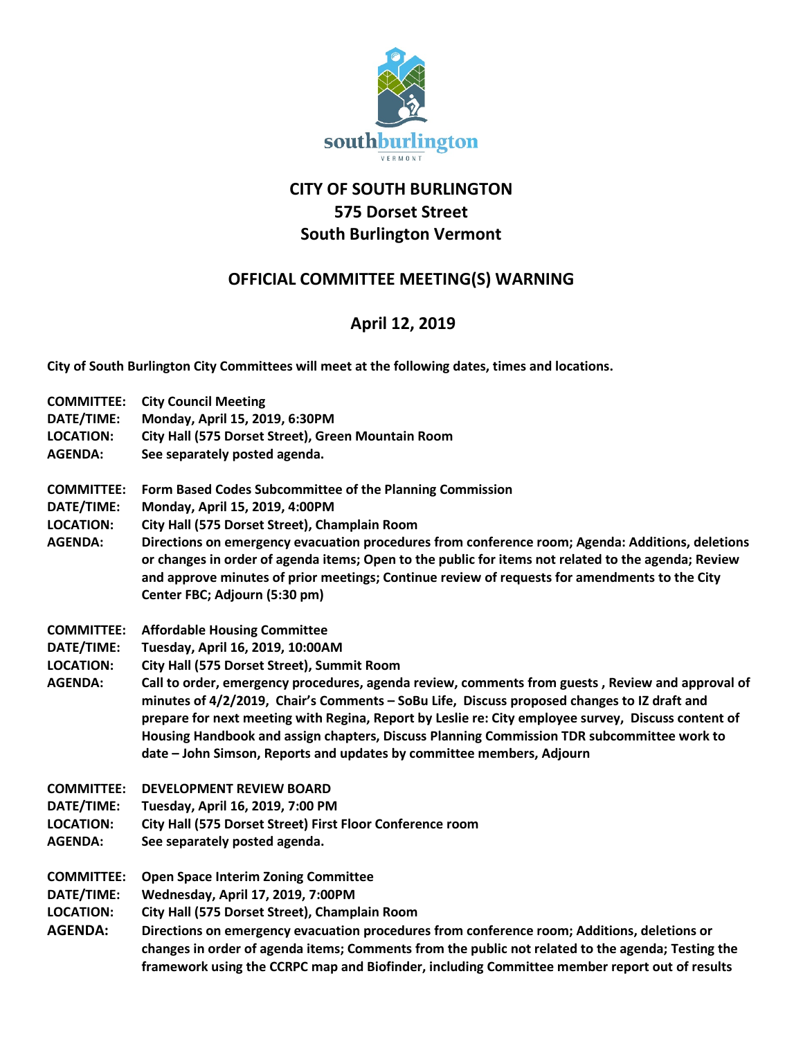

## **CITY OF SOUTH BURLINGTON 575 Dorset Street South Burlington Vermont**

## **OFFICIAL COMMITTEE MEETING(S) WARNING**

## **April 12, 2019**

**City of South Burlington City Committees will meet at the following dates, times and locations.** 

| <b>COMMITTEE:</b> | <b>City Council Meeting</b>                                                                                                                                                                                                                                                                                                                                                                                                                                                   |
|-------------------|-------------------------------------------------------------------------------------------------------------------------------------------------------------------------------------------------------------------------------------------------------------------------------------------------------------------------------------------------------------------------------------------------------------------------------------------------------------------------------|
| DATE/TIME:        | Monday, April 15, 2019, 6:30PM                                                                                                                                                                                                                                                                                                                                                                                                                                                |
| <b>LOCATION:</b>  | City Hall (575 Dorset Street), Green Mountain Room                                                                                                                                                                                                                                                                                                                                                                                                                            |
| <b>AGENDA:</b>    | See separately posted agenda.                                                                                                                                                                                                                                                                                                                                                                                                                                                 |
|                   |                                                                                                                                                                                                                                                                                                                                                                                                                                                                               |
| <b>COMMITTEE:</b> | Form Based Codes Subcommittee of the Planning Commission                                                                                                                                                                                                                                                                                                                                                                                                                      |
| DATE/TIME:        | Monday, April 15, 2019, 4:00PM                                                                                                                                                                                                                                                                                                                                                                                                                                                |
| <b>LOCATION:</b>  | City Hall (575 Dorset Street), Champlain Room                                                                                                                                                                                                                                                                                                                                                                                                                                 |
| <b>AGENDA:</b>    | Directions on emergency evacuation procedures from conference room; Agenda: Additions, deletions<br>or changes in order of agenda items; Open to the public for items not related to the agenda; Review<br>and approve minutes of prior meetings; Continue review of requests for amendments to the City<br>Center FBC; Adjourn (5:30 pm)                                                                                                                                     |
| <b>COMMITTEE:</b> | <b>Affordable Housing Committee</b>                                                                                                                                                                                                                                                                                                                                                                                                                                           |
| DATE/TIME:        | Tuesday, April 16, 2019, 10:00AM                                                                                                                                                                                                                                                                                                                                                                                                                                              |
| <b>LOCATION:</b>  | City Hall (575 Dorset Street), Summit Room                                                                                                                                                                                                                                                                                                                                                                                                                                    |
| <b>AGENDA:</b>    | Call to order, emergency procedures, agenda review, comments from guests, Review and approval of<br>minutes of 4/2/2019, Chair's Comments - SoBu Life, Discuss proposed changes to IZ draft and<br>prepare for next meeting with Regina, Report by Leslie re: City employee survey, Discuss content of<br>Housing Handbook and assign chapters, Discuss Planning Commission TDR subcommittee work to<br>date - John Simson, Reports and updates by committee members, Adjourn |
| <b>COMMITTEE:</b> | <b>DEVELOPMENT REVIEW BOARD</b>                                                                                                                                                                                                                                                                                                                                                                                                                                               |
| DATE/TIME:        | Tuesday, April 16, 2019, 7:00 PM                                                                                                                                                                                                                                                                                                                                                                                                                                              |
| <b>LOCATION:</b>  | City Hall (575 Dorset Street) First Floor Conference room                                                                                                                                                                                                                                                                                                                                                                                                                     |
| <b>AGENDA:</b>    | See separately posted agenda.                                                                                                                                                                                                                                                                                                                                                                                                                                                 |
| <b>COMMITTEE:</b> | <b>Open Space Interim Zoning Committee</b>                                                                                                                                                                                                                                                                                                                                                                                                                                    |
| DATE/TIME:        | Wednesday, April 17, 2019, 7:00PM                                                                                                                                                                                                                                                                                                                                                                                                                                             |
| <b>LOCATION:</b>  | City Hall (575 Dorset Street), Champlain Room                                                                                                                                                                                                                                                                                                                                                                                                                                 |
| <b>AGENDA:</b>    | Directions on emergency evacuation procedures from conference room; Additions, deletions or                                                                                                                                                                                                                                                                                                                                                                                   |
|                   | changes in order of agenda items; Comments from the public not related to the agenda; Testing the<br>framework using the CCRPC map and Biofinder, including Committee member report out of results                                                                                                                                                                                                                                                                            |